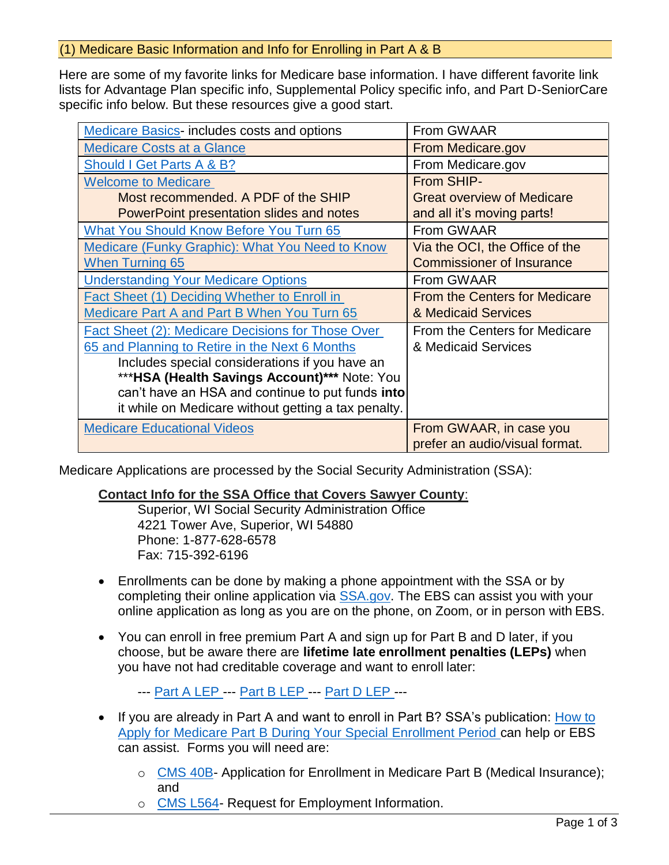### (1) Medicare Basic Information and Info for Enrolling in Part A & B

Here are some of my favorite links for Medicare base information. I have different favorite link lists for Advantage Plan specific info, Supplemental Policy specific info, and Part D-SeniorCare specific info below. But these resources give a good start.

| Medicare Basics-includes costs and options          | From GWAAR                           |
|-----------------------------------------------------|--------------------------------------|
| <b>Medicare Costs at a Glance</b>                   | From Medicare.gov                    |
| Should I Get Parts A & B?                           | From Medicare.gov                    |
| <b>Welcome to Medicare</b>                          | From SHIP-                           |
| Most recommended. A PDF of the SHIP                 | <b>Great overview of Medicare</b>    |
| PowerPoint presentation slides and notes            | and all it's moving parts!           |
| <b>What You Should Know Before You Turn 65</b>      | From GWAAR                           |
| Medicare (Funky Graphic): What You Need to Know     | Via the OCI, the Office of the       |
| <b>When Turning 65</b>                              | <b>Commissioner of Insurance</b>     |
| <b>Understanding Your Medicare Options</b>          | From GWAAR                           |
| Fact Sheet (1) Deciding Whether to Enroll in        | <b>From the Centers for Medicare</b> |
| <b>Medicare Part A and Part B When You Turn 65</b>  | & Medicaid Services                  |
| Fact Sheet (2): Medicare Decisions for Those Over   | From the Centers for Medicare        |
| 65 and Planning to Retire in the Next 6 Months      | & Medicaid Services                  |
| Includes special considerations if you have an      |                                      |
| *** HSA (Health Savings Account)*** Note: You       |                                      |
| can't have an HSA and continue to put funds into    |                                      |
| it while on Medicare without getting a tax penalty. |                                      |
| <b>Medicare Educational Videos</b>                  | From GWAAR, in case you              |
|                                                     | prefer an audio/visual format.       |

Medicare Applications are processed by the Social Security Administration (SSA):

#### **Contact Info for the SSA Office that Covers Sawyer County**:

Superior, WI Social Security Administration Office 4221 Tower Ave, Superior, WI 54880 Phone: 1-877-628-6578 Fax: 715-392-6196

- Enrollments can be done by making a phone appointment with the SSA or by completing their online application via [SSA.gov.](https://www.ssa.gov/) The EBS can assist you with your online application as long as you are on the phone, on Zoom, or in person with EBS.
- You can enroll in free premium Part A and sign up for Part B and D later, if you choose, but be aware there are **lifetime late enrollment penalties (LEPs)** when you have not had creditable coverage and want to enroll later:

--- [Part A LEP -](https://www.medicare.gov/your-medicare-costs/part-a-costs/part-a-late-enrollment-penalty)-- [Part B LEP -](https://www.medicare.gov/your-medicare-costs/part-b-costs/part-b-late-enrollment-penalty)-- [Part D LEP -](https://www.medicare.gov/drug-coverage-part-d/costs-for-medicare-drug-coverage/part-d-late-enrollment-penalty)--

- If you are already in Part A and want to enroll in Part B? SSA's publication: [How to](https://www.ssa.gov/pubs/EN-05-10012.pdf)  [Apply for Medicare Part B During Your Special Enrollment Period c](https://www.ssa.gov/pubs/EN-05-10012.pdf)an help or EBS can assist. Forms you will need are:
	- o [CMS 40B-](https://www.cms.gov/Medicare/CMS-Forms/CMS-Forms/CMS-Forms-Items/CMS017339) Application for Enrollment in Medicare Part B (Medical Insurance); and
	- o [CMS L564-](https://www.cms.gov/Medicare/CMS-Forms/CMS-Forms/Downloads/CMS-L564E.pdf) Request for Employment Information.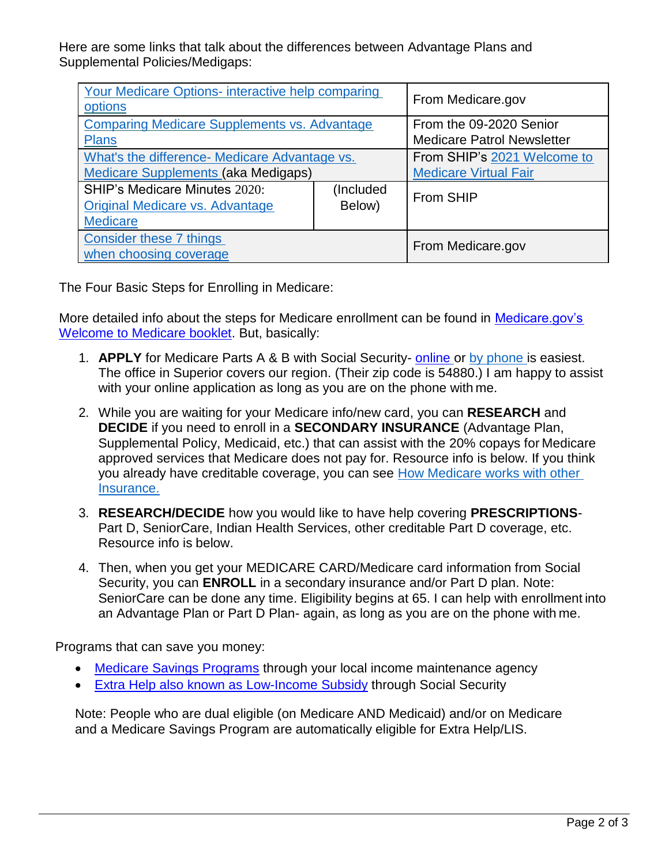Here are some links that talk about the differences between Advantage Plans and Supplemental Policies/Medigaps:

| Your Medicare Options- interactive help comparing<br>options |           | From Medicare.gov                 |  |
|--------------------------------------------------------------|-----------|-----------------------------------|--|
| <b>Comparing Medicare Supplements vs. Advantage</b>          |           | From the 09-2020 Senior           |  |
| <b>Plans</b>                                                 |           | <b>Medicare Patrol Newsletter</b> |  |
| What's the difference- Medicare Advantage vs.                |           | From SHIP's 2021 Welcome to       |  |
| <b>Medicare Supplements (aka Medigaps)</b>                   |           | <b>Medicare Virtual Fair</b>      |  |
| SHIP's Medicare Minutes 2020:                                | (Included | From SHIP                         |  |
| <b>Original Medicare vs. Advantage</b>                       | Below)    |                                   |  |
| <b>Medicare</b>                                              |           |                                   |  |
| Consider these 7 things                                      |           | From Medicare.gov                 |  |
| when choosing coverage                                       |           |                                   |  |

The Four Basic Steps for Enrolling in Medicare:

More detailed info about the steps for Medicare enrollment can be found in Medicare.gov's [Welcome to Medicare booklet.](https://www.medicare.gov/forms-help-resources/mail-you-get-about-medicare) But, basically:

- 1. **APPLY** for Medicare Parts A & B with Social Security- [online](https://www.ssa.gov/benefits/medicare/) or by phone is easiest. The office in Superior covers our region. (Their zip code is 54880.) I [am happy to assist](https://www.medicare.gov/media/9211) [with your online applicat](https://www.medicare.gov/media/9211)ion as long as you are on the phone with me.
- 2. While you are waiting for your Medicare info/new card, [you](https://www.ssa.gov/benefits/medicare/prescriptionhelp/) can **[RESEAR](https://secure.ssa.gov/ICON/main.jsp)CH** and **DECIDE** if you need to enroll in a **SECONDARY INSURANCE** (Advantage Plan, Supplemental Policy, Medicaid, etc.) that can assist with the 20% copays for Medicare approved services that Medicare does not pay for. Resource info is below. If you think you already have creditable coverage, you can see How Medicare works with other Insurance.
- 3. **RESEARCH/DECIDE** how you would like to have help covering **PRESCRIPTIONS**-Part D, SeniorCare, Indian Health Services, other c[reditable Part D coverage, etc.](https://www.medicare.gov/supplements-other-insurance/how-medicare-works-with-other-insurance) [Resource](https://www.medicare.gov/supplements-other-insurance/how-medicare-works-with-other-insurance) info is below.
- 4. Then, when you get your MEDICARE CARD/Medicare card information from Social Security, you can **ENROLL** in a secondary insurance and/or Part D plan. Note: SeniorCare can be done any time. Eligibility begins at 65. I can help with enrollment into an Advantage Plan or Part D Plan- again, as long as you are on the phone with me.

Programs that can save you money:

- [Medicare Savings Programs](https://www.dhs.wisconsin.gov/publications/p1/p10062.pdf) through your local income maintenance agency
- Extra Help [also known as Low-Income Subsidy](https://www.ssa.gov/benefits/medicare/prescriptionhelp.html) through Social Security

Note: People who are dual eligible (on Medicare AND Medicaid) and/or on Medicare and a Medicare Savings Program are automatically eligible for Extra Help/LIS.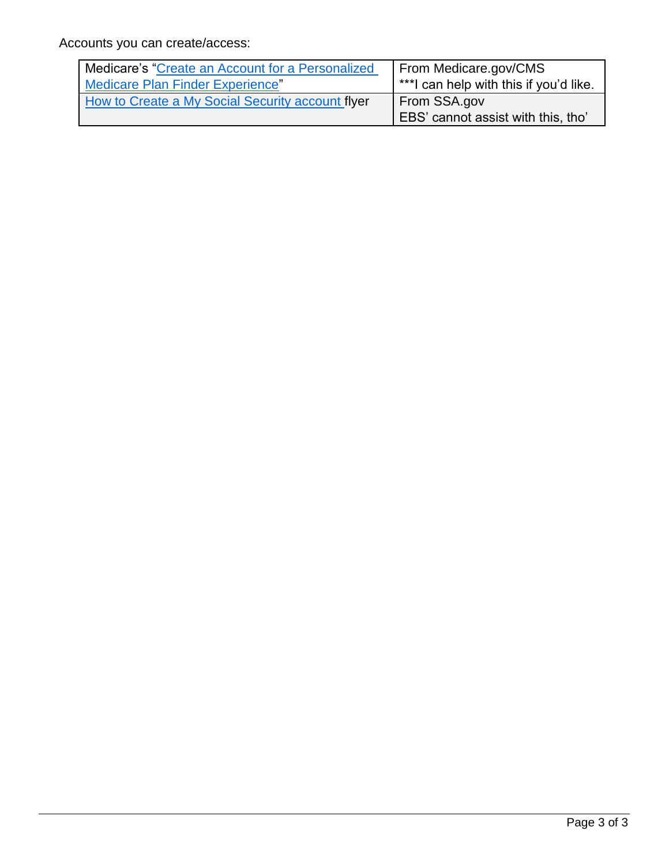Accounts you can create/access:

| Medicare's "Create an Account for a Personalized | From Medicare.gov/CMS                                     |
|--------------------------------------------------|-----------------------------------------------------------|
| Medicare Plan Finder Experience"                 | $*$ **l can help with this if you'd like.                 |
| How to Create a My Social Security account flyer | From SSA.gov<br><b>EBS'</b> cannot assist with this, tho' |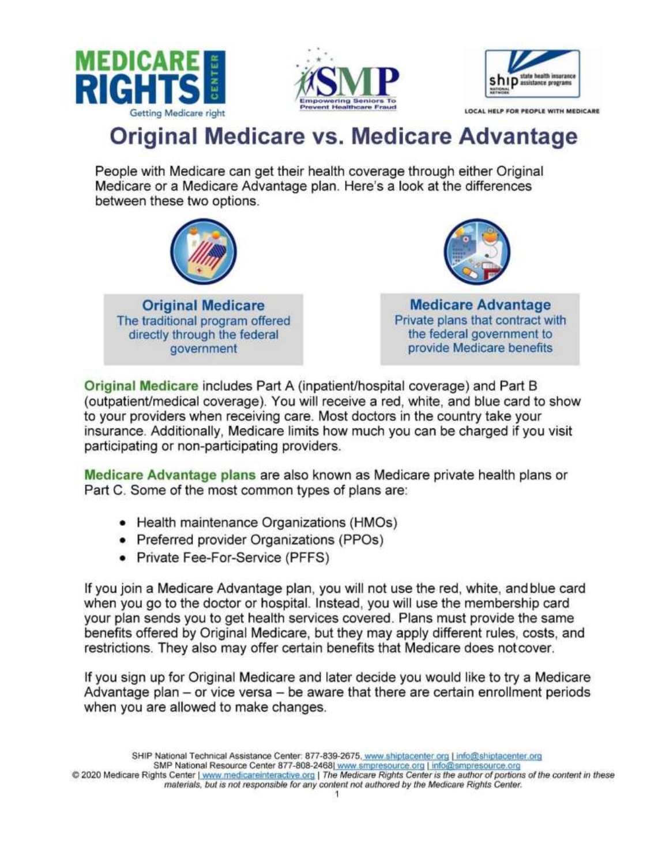<span id="page-3-0"></span>





LOCAL HELP FOR PEOPLE WITH MEDICARE

### **Original Medicare vs. Medicare Advantage**

People with Medicare can get their health coverage through either Original Medicare or a Medicare Advantage plan. Here's a look at the differences between these two options.





**Medicare Advantage** Private plans that contract with the federal government to provide Medicare benefits

Original Medicare includes Part A (inpatient/hospital coverage) and Part B (outpatient/medical coverage). You will receive a red, white, and blue card to show to your providers when receiving care. Most doctors in the country take your insurance. Additionally, Medicare limits how much you can be charged if you visit participating or non-participating providers.

Medicare Advantage plans are also known as Medicare private health plans or Part C. Some of the most common types of plans are:

- Health maintenance Organizations (HMOs)
- Preferred provider Organizations (PPOs)
- Private Fee-For-Service (PFFS)

If you join a Medicare Advantage plan, you will not use the red, white, and blue card when you go to the doctor or hospital. Instead, you will use the membership card your plan sends you to get health services covered. Plans must provide the same benefits offered by Original Medicare, but they may apply different rules, costs, and restrictions. They also may offer certain benefits that Medicare does not cover.

If you sign up for Original Medicare and later decide you would like to try a Medicare Advantage plan – or vice versa – be aware that there are certain enrollment periods when you are allowed to make changes.

SHIP National Technical Assistance Center: 877-839-2675, www.shiptacenter.org | info@shiptacenter.org SMP National Resource Center 877-808-2468| www.smpresource.org | info@smpresource.org

<sup>@ 2020</sup> Medicare Rights Center | www.medicareinteractive.org | The Medicare Rights Center is the author of portions of the content in these materials, but is not responsible for any content not authored by the Medicare Rights Center.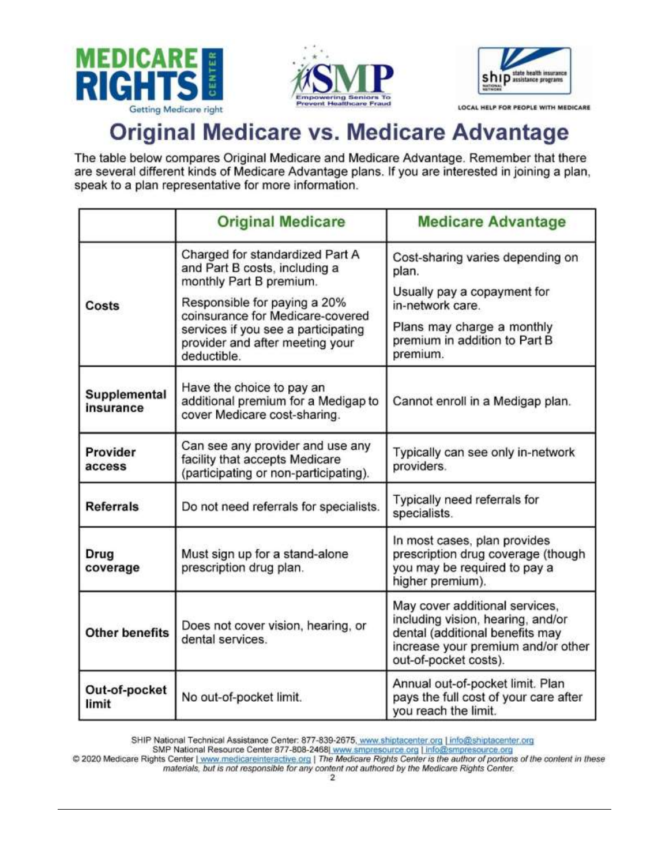





LOCAL HELP FOR PEOPLE WITH MEDICARE

## **Original Medicare vs. Medicare Advantage**

The table below compares Original Medicare and Medicare Advantage. Remember that there are several different kinds of Medicare Advantage plans. If you are interested in joining a plan, speak to a plan representative for more information.

|                           | <b>Original Medicare</b>                                                                                                                                  | <b>Medicare Advantage</b>                                                                                                                                             |
|---------------------------|-----------------------------------------------------------------------------------------------------------------------------------------------------------|-----------------------------------------------------------------------------------------------------------------------------------------------------------------------|
|                           | Charged for standardized Part A<br>and Part B costs, including a<br>monthly Part B premium.                                                               | Cost-sharing varies depending on<br>plan.                                                                                                                             |
| Costs                     | Responsible for paying a 20%<br>coinsurance for Medicare-covered<br>services if you see a participating<br>provider and after meeting your<br>deductible. | Usually pay a copayment for<br>in-network care.                                                                                                                       |
|                           |                                                                                                                                                           | Plans may charge a monthly<br>premium in addition to Part B<br>premium.                                                                                               |
| Supplemental<br>insurance | Have the choice to pay an<br>additional premium for a Medigap to<br>cover Medicare cost-sharing.                                                          | Cannot enroll in a Medigap plan.                                                                                                                                      |
| Provider<br>access        | Can see any provider and use any<br>facility that accepts Medicare<br>(participating or non-participating).                                               | Typically can see only in-network<br>providers.                                                                                                                       |
| <b>Referrals</b>          | Do not need referrals for specialists.                                                                                                                    | Typically need referrals for<br>specialists.                                                                                                                          |
| Drug<br>coverage          | Must sign up for a stand-alone<br>prescription drug plan.                                                                                                 | In most cases, plan provides<br>prescription drug coverage (though<br>you may be required to pay a<br>higher premium).                                                |
| <b>Other benefits</b>     | Does not cover vision, hearing, or<br>dental services.                                                                                                    | May cover additional services,<br>including vision, hearing, and/or<br>dental (additional benefits may<br>increase your premium and/or other<br>out-of-pocket costs). |
| Out-of-pocket<br>limit    | No out-of-pocket limit.                                                                                                                                   | Annual out-of-pocket limit. Plan<br>pays the full cost of your care after<br>you reach the limit.                                                                     |

SHIP National Technical Assistance Center: 877-839-2675, www.shiptacenter.org | info@shiptacenter.org

SMP National Resource Center 877-808-2468| www.smpresource.org | info@smpresource.org

© 2020 Medicare Rights Center | www.medicareinteractive.org | The Medicare Rights Center is the author of portions of the content in these materials, but is not responsible for any content not authored by the Medicare Righ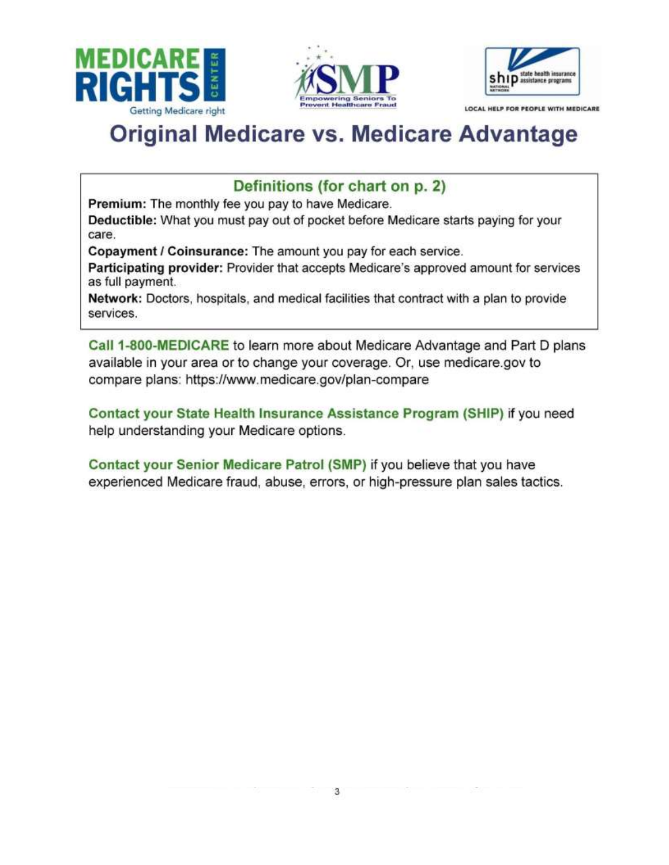





LOCAL HELP FOR PEOPLE WITH MEDICARE

# **Original Medicare vs. Medicare Advantage**

### Definitions (for chart on p. 2)

Premium: The monthly fee you pay to have Medicare.

Deductible: What you must pay out of pocket before Medicare starts paying for your care.

Copayment / Coinsurance: The amount you pay for each service.

Participating provider: Provider that accepts Medicare's approved amount for services as full payment.

Network: Doctors, hospitals, and medical facilities that contract with a plan to provide services.

Call 1-800-MEDICARE to learn more about Medicare Advantage and Part D plans available in your area or to change your coverage. Or, use medicare.gov to compare plans: https://www.medicare.gov/plan-compare

Contact your State Health Insurance Assistance Program (SHIP) if you need help understanding your Medicare options.

Contact your Senior Medicare Patrol (SMP) if you believe that you have experienced Medicare fraud, abuse, errors, or high-pressure plan sales tactics.